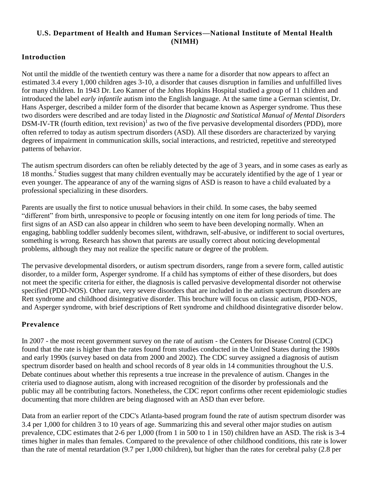#### **U.S. Department of Health and Human Services—National Institute of Mental Health (NIMH)**

#### **Introduction**

Not until the middle of the twentieth century was there a name for a disorder that now appears to affect an estimated 3.4 every 1,000 children ages 3-10, a disorder that causes disruption in families and unfulfilled lives for many children. In 1943 Dr. Leo Kanner of the Johns Hopkins Hospital studied a group of 11 children and introduced the label *early infantile* autism into the English language. At the same time a German scientist, Dr. Hans Asperger, described a milder form of the disorder that became known as Asperger syndrome. Thus these two disorders were described and are today listed in the *Diagnostic and Statistical Manual of Mental Disorders*  $DSM-IV-TR$  (fourth edition, text revision) $<sup>1</sup>$  as two of the five pervasive developmental disorders (PDD), more</sup> often referred to today as autism spectrum disorders (ASD). All these disorders are characterized by varying degrees of impairment in communication skills, social interactions, and restricted, repetitive and stereotyped patterns of behavior.

The autism spectrum disorders can often be reliably detected by the age of 3 years, and in some cases as early as 18 months.<sup>2</sup> Studies suggest that many children eventually may be accurately identified by the age of 1 year or even younger. The appearance of any of the warning signs of ASD is reason to have a child evaluated by a professional specializing in these disorders.

Parents are usually the first to notice unusual behaviors in their child. In some cases, the baby seemed "different" from birth, unresponsive to people or focusing intently on one item for long periods of time. The first signs of an ASD can also appear in children who seem to have been developing normally. When an engaging, babbling toddler suddenly becomes silent, withdrawn, self-abusive, or indifferent to social overtures, something is wrong. Research has shown that parents are usually correct about noticing developmental problems, although they may not realize the specific nature or degree of the problem.

The pervasive developmental disorders, or autism spectrum disorders, range from a severe form, called autistic disorder, to a milder form, Asperger syndrome. If a child has symptoms of either of these disorders, but does not meet the specific criteria for either, the diagnosis is called pervasive developmental disorder not otherwise specified (PDD-NOS). Other rare, very severe disorders that are included in the autism spectrum disorders are Rett syndrome and childhood disintegrative disorder. This brochure will focus on classic autism, PDD-NOS, and Asperger syndrome, with brief descriptions of Rett syndrome and childhood disintegrative disorder below.

### **Prevalence**

In 2007 - the most recent government survey on the rate of autism - the Centers for Disease Control (CDC) found that the rate is higher than the rates found from studies conducted in the United States during the 1980s and early 1990s (survey based on data from 2000 and 2002). The CDC survey assigned a diagnosis of autism spectrum disorder based on health and school records of 8 year olds in 14 communities throughout the U.S. Debate continues about whether this represents a true increase in the prevalence of autism. Changes in the criteria used to diagnose autism, along with increased recognition of the disorder by professionals and the public may all be contributing factors. Nonetheless, the CDC report confirms other recent epidemiologic studies documenting that more children are being diagnosed with an ASD than ever before.

Data from an earlier report of the CDC's Atlanta-based program found the rate of autism spectrum disorder was 3.4 per 1,000 for children 3 to 10 years of age. Summarizing this and several other major studies on autism prevalence, CDC estimates that 2-6 per 1,000 (from 1 in 500 to 1 in 150) children have an ASD. The risk is 3-4 times higher in males than females. Compared to the prevalence of other childhood conditions, this rate is lower than the rate of mental retardation (9.7 per 1,000 children), but higher than the rates for cerebral palsy (2.8 per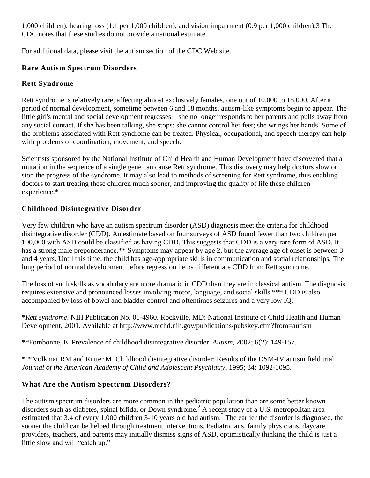1,000 children), hearing loss (1.1 per 1,000 children), and vision impairment (0.9 per 1,000 children).3 The CDC notes that these studies do not provide a national estimate.

For additional data, please visit the [autism section of the CDC Web site.](http://www.cdc.gov/ncbddd/autism/)

## **Rare Autism Spectrum Disorders**

### **Rett Syndrome**

Rett syndrome is relatively rare, affecting almost exclusively females, one out of 10,000 to 15,000. After a period of normal development, sometime between 6 and 18 months, autism-like symptoms begin to appear. The little girl's mental and social development regresses—she no longer responds to her parents and pulls away from any social contact. If she has been talking, she stops; she cannot control her feet; she wrings her hands. Some of the problems associated with Rett syndrome can be treated. Physical, occupational, and speech therapy can help with problems of coordination, movement, and speech.

Scientists sponsored by the National Institute of Child Health and Human Development have discovered that a mutation in the sequence of a single gene can cause Rett syndrome. This discovery may help doctors slow or stop the progress of the syndrome. It may also lead to methods of screening for Rett syndrome, thus enabling doctors to start treating these children much sooner, and improving the quality of life these children experience.\*

## **Childhood Disintegrative Disorder**

Very few children who have an autism spectrum disorder (ASD) diagnosis meet the criteria for childhood disintegrative disorder (CDD). An estimate based on four surveys of ASD found fewer than two children per 100,000 with ASD could be classified as having CDD. This suggests that CDD is a very rare form of ASD. It has a strong male preponderance.\*\* Symptoms may appear by age 2, but the average age of onset is between 3 and 4 years. Until this time, the child has age-appropriate skills in communication and social relationships. The long period of normal development before regression helps differentiate CDD from Rett syndrome.

The loss of such skills as vocabulary are more dramatic in CDD than they are in classical autism. The diagnosis requires extensive and pronounced losses involving motor, language, and social skills.\*\*\* CDD is also accompanied by loss of bowel and bladder control and oftentimes seizures and a very low IQ.

\**Rett syndrome*. NIH Publication No. 01-4960. Rockville, MD: National Institute of Child Health and Human Development, 2001. Available at<http://www.nichd.nih.gov/publications/pubskey.cfm?from=autism>

\*\*Fombonne, E. Prevalence of childhood disintegrative disorder. *Autism*, 2002; 6(2): 149-157.

\*\*\*Volkmar RM and Rutter M. Childhood disintegrative disorder: Results of the DSM-IV autism field trial. *Journal of the American Academy of Child and Adolescent Psychiatry*, 1995; 34: 1092-1095.

### **What Are the Autism Spectrum Disorders?**

The autism spectrum disorders are more common in the pediatric population than are some better known disorders such as diabetes, spinal bifida, or Down syndrome.<sup>2</sup> A recent study of a U.S. metropolitan area estimated that 3.4 of every  $1,000$  children 3-10 years old had autism.<sup>3</sup> The earlier the disorder is diagnosed, the sooner the child can be helped through treatment interventions. Pediatricians, family physicians, daycare providers, teachers, and parents may initially dismiss signs of ASD, optimistically thinking the child is just a little slow and will "catch up."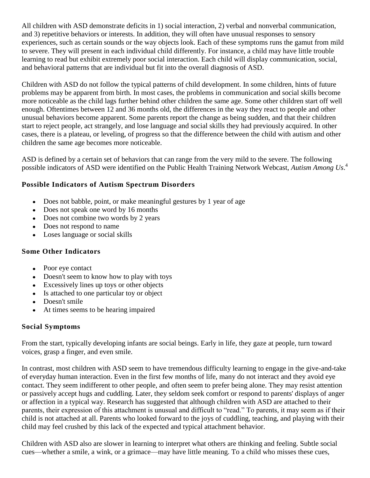All children with ASD demonstrate deficits in 1) social interaction, 2) verbal and nonverbal communication, and 3) repetitive behaviors or interests. In addition, they will often have unusual responses to sensory experiences, such as certain sounds or the way objects look. Each of these symptoms runs the gamut from mild to severe. They will present in each individual child differently. For instance, a child may have little trouble learning to read but exhibit extremely poor social interaction. Each child will display communication, social, and behavioral patterns that are individual but fit into the overall diagnosis of ASD.

Children with ASD do not follow the typical patterns of child development. In some children, hints of future problems may be apparent from birth. In most cases, the problems in communication and social skills become more noticeable as the child lags further behind other children the same age. Some other children start off well enough. Oftentimes between 12 and 36 months old, the differences in the way they react to people and other unusual behaviors become apparent. Some parents report the change as being sudden, and that their children start to reject people, act strangely, and lose language and social skills they had previously acquired. In other cases, there is a plateau, or leveling, of progress so that the difference between the child with autism and other children the same age becomes more noticeable.

ASD is defined by a certain set of behaviors that can range from the very mild to the severe. The following possible indicators of ASD were identified on the Public Health Training Network Webcast, *Autism Among Us*. 4

### **Possible Indicators of Autism Spectrum Disorders**

- Does not babble, point, or make meaningful gestures by 1 year of age
- Does not speak one word by 16 months
- Does not combine two words by 2 years
- Does not respond to name
- Loses language or social skills

### **Some Other Indicators**

- Poor eye contact
- Doesn't seem to know how to play with toys
- Excessively lines up toys or other objects
- Is attached to one particular toy or object
- Doesn't smile
- At times seems to be hearing impaired

### **Social Symptoms**

From the start, typically developing infants are social beings. Early in life, they gaze at people, turn toward voices, grasp a finger, and even smile.

In contrast, most children with ASD seem to have tremendous difficulty learning to engage in the give-and-take of everyday human interaction. Even in the first few months of life, many do not interact and they avoid eye contact. They seem indifferent to other people, and often seem to prefer being alone. They may resist attention or passively accept hugs and cuddling. Later, they seldom seek comfort or respond to parents' displays of anger or affection in a typical way. Research has suggested that although children with ASD are attached to their parents, their expression of this attachment is unusual and difficult to "read." To parents, it may seem as if their child is not attached at all. Parents who looked forward to the joys of cuddling, teaching, and playing with their child may feel crushed by this lack of the expected and typical attachment behavior.

Children with ASD also are slower in learning to interpret what others are thinking and feeling. Subtle social cues—whether a smile, a wink, or a grimace—may have little meaning. To a child who misses these cues,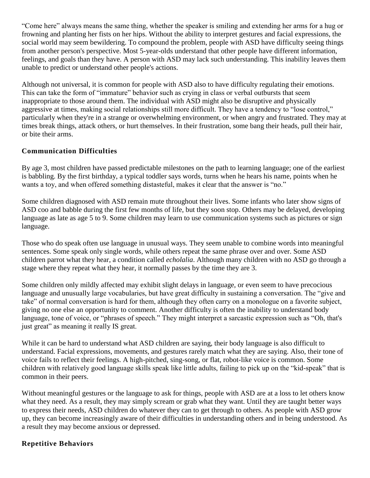"Come here" always means the same thing, whether the speaker is smiling and extending her arms for a hug or frowning and planting her fists on her hips. Without the ability to interpret gestures and facial expressions, the social world may seem bewildering. To compound the problem, people with ASD have difficulty seeing things from another person's perspective. Most 5-year-olds understand that other people have different information, feelings, and goals than they have. A person with ASD may lack such understanding. This inability leaves them unable to predict or understand other people's actions.

Although not universal, it is common for people with ASD also to have difficulty regulating their emotions. This can take the form of "immature" behavior such as crying in class or verbal outbursts that seem inappropriate to those around them. The individual with ASD might also be disruptive and physically aggressive at times, making social relationships still more difficult. They have a tendency to "lose control," particularly when they're in a strange or overwhelming environment, or when angry and frustrated. They may at times break things, attack others, or hurt themselves. In their frustration, some bang their heads, pull their hair, or bite their arms.

#### **Communication Difficulties**

By age 3, most children have passed predictable milestones on the path to learning language; one of the earliest is babbling. By the first birthday, a typical toddler says words, turns when he hears his name, points when he wants a toy, and when offered something distasteful, makes it clear that the answer is "no."

Some children diagnosed with ASD remain mute throughout their lives. Some infants who later show signs of ASD coo and babble during the first few months of life, but they soon stop. Others may be delayed, developing language as late as age 5 to 9. Some children may learn to use communication systems such as pictures or sign language.

Those who do speak often use language in unusual ways. They seem unable to combine words into meaningful sentences. Some speak only single words, while others repeat the same phrase over and over. Some ASD children parrot what they hear, a condition called *echolalia*. Although many children with no ASD go through a stage where they repeat what they hear, it normally passes by the time they are 3.

Some children only mildly affected may exhibit slight delays in language, or even seem to have precocious language and unusually large vocabularies, but have great difficulty in sustaining a conversation. The "give and take" of normal conversation is hard for them, although they often carry on a monologue on a favorite subject, giving no one else an opportunity to comment. Another difficulty is often the inability to understand body language, tone of voice, or "phrases of speech." They might interpret a sarcastic expression such as "Oh, that's just great" as meaning it really IS great.

While it can be hard to understand what ASD children are saying, their body language is also difficult to understand. Facial expressions, movements, and gestures rarely match what they are saying. Also, their tone of voice fails to reflect their feelings. A high-pitched, sing-song, or flat, robot-like voice is common. Some children with relatively good language skills speak like little adults, failing to pick up on the "kid-speak" that is common in their peers.

Without meaningful gestures or the language to ask for things, people with ASD are at a loss to let others know what they need. As a result, they may simply scream or grab what they want. Until they are taught better ways to express their needs, ASD children do whatever they can to get through to others. As people with ASD grow up, they can become increasingly aware of their difficulties in understanding others and in being understood. As a result they may become anxious or depressed.

#### **Repetitive Behaviors**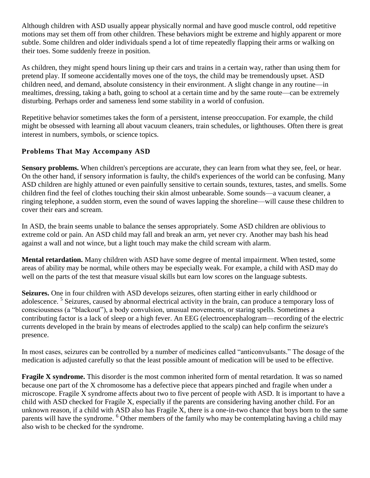Although children with ASD usually appear physically normal and have good muscle control, odd repetitive motions may set them off from other children. These behaviors might be extreme and highly apparent or more subtle. Some children and older individuals spend a lot of time repeatedly flapping their arms or walking on their toes. Some suddenly freeze in position.

As children, they might spend hours lining up their cars and trains in a certain way, rather than using them for pretend play. If someone accidentally moves one of the toys, the child may be tremendously upset. ASD children need, and demand, absolute consistency in their environment. A slight change in any routine—in mealtimes, dressing, taking a bath, going to school at a certain time and by the same route—can be extremely disturbing. Perhaps order and sameness lend some stability in a world of confusion.

Repetitive behavior sometimes takes the form of a persistent, intense preoccupation. For example, the child might be obsessed with learning all about vacuum cleaners, train schedules, or lighthouses. Often there is great interest in numbers, symbols, or science topics.

## **Problems That May Accompany ASD**

**Sensory problems.** When children's perceptions are accurate, they can learn from what they see, feel, or hear. On the other hand, if sensory information is faulty, the child's experiences of the world can be confusing. Many ASD children are highly attuned or even painfully sensitive to certain sounds, textures, tastes, and smells. Some children find the feel of clothes touching their skin almost unbearable. Some sounds—a vacuum cleaner, a ringing telephone, a sudden storm, even the sound of waves lapping the shoreline—will cause these children to cover their ears and scream.

In ASD, the brain seems unable to balance the senses appropriately. Some ASD children are oblivious to extreme cold or pain. An ASD child may fall and break an arm, yet never cry. Another may bash his head against a wall and not wince, but a light touch may make the child scream with alarm.

**Mental retardation.** Many children with ASD have some degree of mental impairment. When tested, some areas of ability may be normal, while others may be especially weak. For example, a child with ASD may do well on the parts of the test that measure visual skills but earn low scores on the language subtests.

**Seizures.** One in four children with ASD develops seizures, often starting either in early childhood or adolescence.<sup>5</sup> Seizures, caused by abnormal electrical activity in the brain, can produce a temporary loss of consciousness (a "blackout"), a body convulsion, unusual movements, or staring spells. Sometimes a contributing factor is a lack of sleep or a high fever. An EEG (electroencephalogram—recording of the electric currents developed in the brain by means of electrodes applied to the scalp) can help confirm the seizure's presence.

In most cases, seizures can be controlled by a number of medicines called "anticonvulsants." The dosage of the medication is adjusted carefully so that the least possible amount of medication will be used to be effective.

**Fragile X syndrome.** This disorder is the most common inherited form of mental retardation. It was so named because one part of the X chromosome has a defective piece that appears pinched and fragile when under a microscope. Fragile X syndrome affects about two to five percent of people with ASD. It is important to have a child with ASD checked for Fragile X, especially if the parents are considering having another child. For an unknown reason, if a child with ASD also has Fragile X, there is a one-in-two chance that boys born to the same parents will have the syndrome. <sup>6</sup> Other members of the family who may be contemplating having a child may also wish to be checked for the syndrome.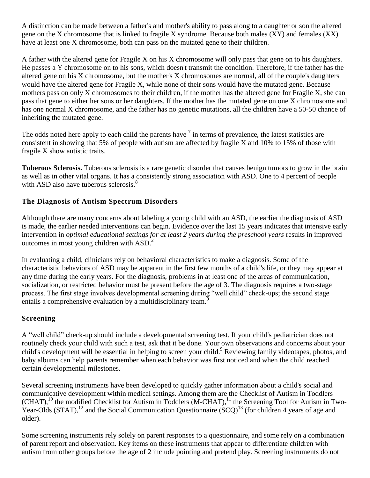A distinction can be made between a father's and mother's ability to pass along to a daughter or son the altered gene on the X chromosome that is linked to fragile X syndrome. Because both males (XY) and females (XX) have at least one X chromosome, both can pass on the mutated gene to their children.

A father with the altered gene for Fragile X on his X chromosome will only pass that gene on to his daughters. He passes a Y chromosome on to his sons, which doesn't transmit the condition. Therefore, if the father has the altered gene on his X chromosome, but the mother's X chromosomes are normal, all of the couple's daughters would have the altered gene for Fragile X, while none of their sons would have the mutated gene. Because mothers pass on only X chromosomes to their children, if the mother has the altered gene for Fragile X, she can pass that gene to either her sons or her daughters. If the mother has the mutated gene on one X chromosome and has one normal X chromosome, and the father has no genetic mutations, all the children have a 50-50 chance of inheriting the mutated gene.

The odds noted here apply to each child the parents have  $<sup>7</sup>$  in terms of prevalence, the latest statistics are</sup> consistent in showing that 5% of people with autism are affected by fragile X and 10% to 15% of those with fragile X show autistic traits.

**Tuberous Sclerosis.** Tuberous sclerosis is a rare genetic disorder that causes benign tumors to grow in the brain as well as in other vital organs. It has a consistently strong association with ASD. One to 4 percent of people with ASD also have tuberous sclerosis.<sup>8</sup>

### **The Diagnosis of Autism Spectrum Disorders**

Although there are many concerns about labeling a young child with an ASD, the earlier the diagnosis of ASD is made, the earlier needed interventions can begin. Evidence over the last 15 years indicates that intensive early intervention in *optimal educational settings for at least 2 years during the preschool years* results in improved outcomes in most young children with ASD.<sup>2</sup>

In evaluating a child, clinicians rely on behavioral characteristics to make a diagnosis. Some of the characteristic behaviors of ASD may be apparent in the first few months of a child's life, or they may appear at any time during the early years. For the diagnosis, problems in at least one of the areas of communication, socialization, or restricted behavior must be present before the age of 3. The diagnosis requires a two-stage process. The first stage involves developmental screening during "well child" check-ups; the second stage entails a comprehensive evaluation by a multidisciplinary team.<sup>9</sup>

### **Screening**

A "well child" check-up should include a developmental screening test. If your child's pediatrician does not routinely check your child with such a test, ask that it be done. Your own observations and concerns about your child's development will be essential in helping to screen your child.<sup>9</sup> Reviewing family videotapes, photos, and baby albums can help parents remember when each behavior was first noticed and when the child reached certain developmental milestones.

Several screening instruments have been developed to quickly gather information about a child's social and communicative development within medical settings. Among them are the Checklist of Autism in Toddlers  $(CHAT)$ ,<sup>10</sup> the modified Checklist for Autism in Toddlers  $(M-CHAT)$ ,<sup>11</sup> the Screening Tool for Autism in Two-Year-Olds (STAT), <sup>12</sup> and the Social Communication Questionnaire  $(SCO)^{13}$  (for children 4 years of age and older).

Some screening instruments rely solely on parent responses to a questionnaire, and some rely on a combination of parent report and observation. Key items on these instruments that appear to differentiate children with autism from other groups before the age of 2 include pointing and pretend play. Screening instruments do not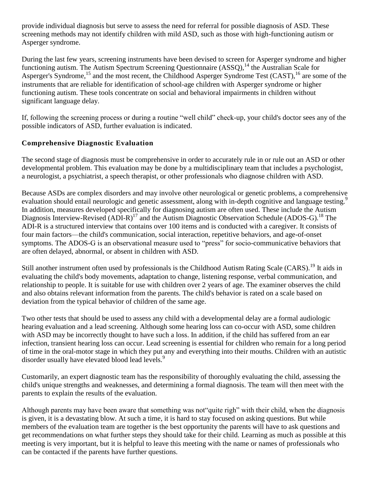provide individual diagnosis but serve to assess the need for referral for possible diagnosis of ASD. These screening methods may not identify children with mild ASD, such as those with high-functioning autism or Asperger syndrome.

During the last few years, screening instruments have been devised to screen for Asperger syndrome and higher functioning autism. The Autism Spectrum Screening Questionnaire  $(ASSQ)$ ,  $^{14}$  the Australian Scale for Asperger's Syndrome,<sup>15</sup> and the most recent, the Childhood Asperger Syndrome Test (CAST),<sup>16</sup> are some of the instruments that are reliable for identification of school-age children with Asperger syndrome or higher functioning autism. These tools concentrate on social and behavioral impairments in children without significant language delay.

If, following the screening process or during a routine "well child" check-up, your child's doctor sees any of the possible indicators of ASD, further evaluation is indicated.

### **Comprehensive Diagnostic Evaluation**

The second stage of diagnosis must be comprehensive in order to accurately rule in or rule out an ASD or other developmental problem. This evaluation may be done by a multidisciplinary team that includes a psychologist, a neurologist, a psychiatrist, a speech therapist, or other professionals who diagnose children with ASD.

Because ASDs are complex disorders and may involve other neurological or genetic problems, a comprehensive evaluation should entail neurologic and genetic assessment, along with in-depth cognitive and language testing.<sup>9</sup> In addition, measures developed specifically for diagnosing autism are often used. These include the Autism Diagnosis Interview-Revised  $(ADI-R)^{17}$  and the Autism Diagnostic Observation Schedule  $(ADOS-G)^{18}$  The ADI-R is a structured interview that contains over 100 items and is conducted with a caregiver. It consists of four main factors—the child's communication, social interaction, repetitive behaviors, and age-of-onset symptoms. The ADOS-G is an observational measure used to "press" for socio-communicative behaviors that are often delayed, abnormal, or absent in children with ASD.

Still another instrument often used by professionals is the Childhood Autism Rating Scale (CARS).<sup>19</sup> It aids in evaluating the child's body movements, adaptation to change, listening response, verbal communication, and relationship to people. It is suitable for use with children over 2 years of age. The examiner observes the child and also obtains relevant information from the parents. The child's behavior is rated on a scale based on deviation from the typical behavior of children of the same age.

Two other tests that should be used to assess any child with a developmental delay are a formal audiologic hearing evaluation and a lead screening. Although some hearing loss can co-occur with ASD, some children with ASD may be incorrectly thought to have such a loss. In addition, if the child has suffered from an ear infection, transient hearing loss can occur. Lead screening is essential for children who remain for a long period of time in the oral-motor stage in which they put any and everything into their mouths. Children with an autistic disorder usually have elevated blood lead levels.<sup>9</sup>

Customarily, an expert diagnostic team has the responsibility of thoroughly evaluating the child, assessing the child's unique strengths and weaknesses, and determining a formal diagnosis. The team will then meet with the parents to explain the results of the evaluation.

Although parents may have been aware that something was not"quite righ" with their child, when the diagnosis is given, it is a devastating blow. At such a time, it is hard to stay focused on asking questions. But while members of the evaluation team are together is the best opportunity the parents will have to ask questions and get recommendations on what further steps they should take for their child. Learning as much as possible at this meeting is very important, but it is helpful to leave this meeting with the name or names of professionals who can be contacted if the parents have further questions.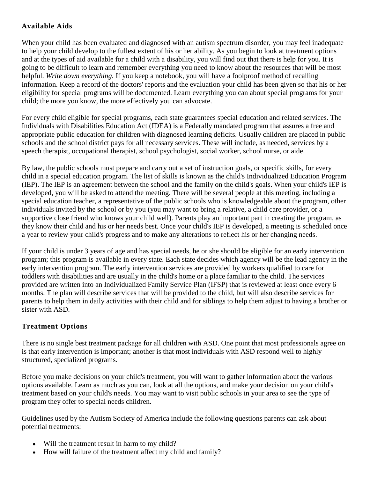### **Available Aids**

When your child has been evaluated and diagnosed with an autism spectrum disorder, you may feel inadequate to help your child develop to the fullest extent of his or her ability. As you begin to look at treatment options and at the types of aid available for a child with a disability, you will find out that there is help for you. It is going to be difficult to learn and remember everything you need to know about the resources that will be most helpful. *Write down everything.* If you keep a notebook, you will have a foolproof method of recalling information. Keep a record of the doctors' reports and the evaluation your child has been given so that his or her eligibility for special programs will be documented. Learn everything you can about special programs for your child; the more you know, the more effectively you can advocate.

For every child eligible for special programs, each state guarantees special education and related services. The Individuals with Disabilities Education Act (IDEA) is a Federally mandated program that assures a free and appropriate public education for children with diagnosed learning deficits. Usually children are placed in public schools and the school district pays for all necessary services. These will include, as needed, services by a speech therapist, occupational therapist, school psychologist, social worker, school nurse, or aide.

By law, the public schools must prepare and carry out a set of instruction goals, or specific skills, for every child in a special education program. The list of skills is known as the child's Individualized Education Program (IEP). The IEP is an agreement between the school and the family on the child's goals. When your child's IEP is developed, you will be asked to attend the meeting. There will be several people at this meeting, including a special education teacher, a representative of the public schools who is knowledgeable about the program, other individuals invited by the school or by you (you may want to bring a relative, a child care provider, or a supportive close friend who knows your child well). Parents play an important part in creating the program, as they know their child and his or her needs best. Once your child's IEP is developed, a meeting is scheduled once a year to review your child's progress and to make any alterations to reflect his or her changing needs.

If your child is under 3 years of age and has special needs, he or she should be eligible for an early intervention program; this program is available in every state. Each state decides which agency will be the lead agency in the early intervention program. The early intervention services are provided by workers qualified to care for toddlers with disabilities and are usually in the child's home or a place familiar to the child. The services provided are written into an Individualized Family Service Plan (IFSP) that is reviewed at least once every 6 months. The plan will describe services that will be provided to the child, but will also describe services for parents to help them in daily activities with their child and for siblings to help them adjust to having a brother or sister with ASD.

### **Treatment Options**

There is no single best treatment package for all children with ASD. One point that most professionals agree on is that early intervention is important; another is that most individuals with ASD respond well to highly structured, specialized programs.

Before you make decisions on your child's treatment, you will want to gather information about the various options available. Learn as much as you can, look at all the options, and make your decision on your child's treatment based on your child's needs. You may want to visit public schools in your area to see the type of program they offer to special needs children.

Guidelines used by the Autism Society of America include the following questions parents can ask about potential treatments:

- Will the treatment result in harm to my child?
- How will failure of the treatment affect my child and family?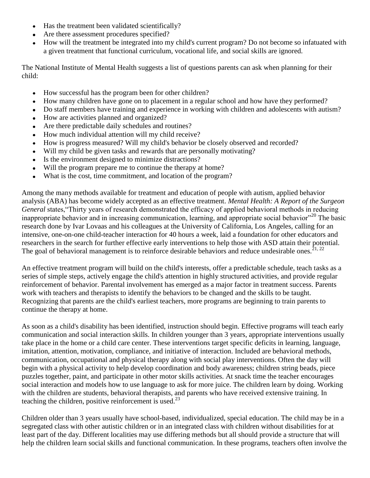- Has the treatment been validated scientifically?
- Are there assessment procedures specified?
- How will the treatment be integrated into my child's current program? Do not become so infatuated with a given treatment that functional curriculum, vocational life, and social skills are ignored.

The National Institute of Mental Health suggests a list of questions parents can ask when planning for their child:

- How successful has the program been for other children?  $\bullet$
- How many children have gone on to placement in a regular school and how have they performed?
- Do staff members have training and experience in working with children and adolescents with autism?
- How are activities planned and organized?
- Are there predictable daily schedules and routines?
- How much individual attention will my child receive?  $\bullet$
- How is progress measured? Will my child's behavior be closely observed and recorded?
- Will my child be given tasks and rewards that are personally motivating?
- Is the environment designed to minimize distractions?
- Will the program prepare me to continue the therapy at home?
- What is the cost, time commitment, and location of the program?  $\bullet$

Among the many methods available for treatment and education of people with autism, applied behavior analysis (ABA) has become widely accepted as an effective treatment. *Mental Health: A Report of the Surgeon General* states,"Thirty years of research demonstrated the efficacy of applied behavioral methods in reducing inappropriate behavior and in increasing communication, learning, and appropriate social behavior<sup> $20$ </sup> The basic research done by Ivar Lovaas and his colleagues at the University of California, Los Angeles, calling for an intensive, one-on-one child-teacher interaction for 40 hours a week, laid a foundation for other educators and researchers in the search for further effective early interventions to help those with ASD attain their potential. The goal of behavioral management is to reinforce desirable behaviors and reduce undesirable ones.<sup>21, 22</sup>

An effective treatment program will build on the child's interests, offer a predictable schedule, teach tasks as a series of simple steps, actively engage the child's attention in highly structured activities, and provide regular reinforcement of behavior. Parental involvement has emerged as a major factor in treatment success. Parents work with teachers and therapists to identify the behaviors to be changed and the skills to be taught. Recognizing that parents are the child's earliest teachers, more programs are beginning to train parents to continue the therapy at home.

As soon as a child's disability has been identified, instruction should begin. Effective programs will teach early communication and social interaction skills. In children younger than 3 years, appropriate interventions usually take place in the home or a child care center. These interventions target specific deficits in learning, language, imitation, attention, motivation, compliance, and initiative of interaction. Included are behavioral methods, communication, occupational and physical therapy along with social play interventions. Often the day will begin with a physical activity to help develop coordination and body awareness; children string beads, piece puzzles together, paint, and participate in other motor skills activities. At snack time the teacher encourages social interaction and models how to use language to ask for more juice. The children learn by doing. Working with the children are students, behavioral therapists, and parents who have received extensive training. In teaching the children, positive reinforcement is used.<sup>23</sup>

Children older than 3 years usually have school-based, individualized, special education. The child may be in a segregated class with other autistic children or in an integrated class with children without disabilities for at least part of the day. Different localities may use differing methods but all should provide a structure that will help the children learn social skills and functional communication. In these programs, teachers often involve the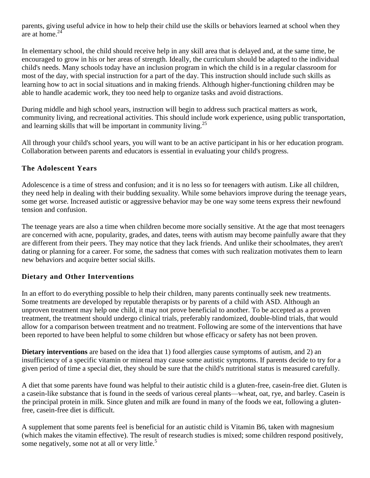parents, giving useful advice in how to help their child use the skills or behaviors learned at school when they are at home. $24$ 

In elementary school, the child should receive help in any skill area that is delayed and, at the same time, be encouraged to grow in his or her areas of strength. Ideally, the curriculum should be adapted to the individual child's needs. Many schools today have an inclusion program in which the child is in a regular classroom for most of the day, with special instruction for a part of the day. This instruction should include such skills as learning how to act in social situations and in making friends. Although higher-functioning children may be able to handle academic work, they too need help to organize tasks and avoid distractions.

During middle and high school years, instruction will begin to address such practical matters as work, community living, and recreational activities. This should include work experience, using public transportation, and learning skills that will be important in community living.<sup>25</sup>

All through your child's school years, you will want to be an active participant in his or her education program. Collaboration between parents and educators is essential in evaluating your child's progress.

#### **The Adolescent Years**

Adolescence is a time of stress and confusion; and it is no less so for teenagers with autism. Like all children, they need help in dealing with their budding sexuality. While some behaviors improve during the teenage years, some get worse. Increased autistic or aggressive behavior may be one way some teens express their newfound tension and confusion.

The teenage years are also a time when children become more socially sensitive. At the age that most teenagers are concerned with acne, popularity, grades, and dates, teens with autism may become painfully aware that they are different from their peers. They may notice that they lack friends. And unlike their schoolmates, they aren't dating or planning for a career. For some, the sadness that comes with such realization motivates them to learn new behaviors and acquire better social skills.

### **Dietary and Other Interventions**

In an effort to do everything possible to help their children, many parents continually seek new treatments. Some treatments are developed by reputable therapists or by parents of a child with ASD. Although an unproven treatment may help one child, it may not prove beneficial to another. To be accepted as a proven treatment, the treatment should undergo clinical trials, preferably randomized, double-blind trials, that would allow for a comparison between treatment and no treatment. Following are some of the interventions that have been reported to have been helpful to some children but whose efficacy or safety has not been proven.

**Dietary interventions** are based on the idea that 1) food allergies cause symptoms of autism, and 2) an insufficiency of a specific vitamin or mineral may cause some autistic symptoms. If parents decide to try for a given period of time a special diet, they should be sure that the child's nutritional status is measured carefully.

A diet that some parents have found was helpful to their autistic child is a gluten-free, casein-free diet. Gluten is a casein-like substance that is found in the seeds of various cereal plants—wheat, oat, rye, and barley. Casein is the principal protein in milk. Since gluten and milk are found in many of the foods we eat, following a glutenfree, casein-free diet is difficult.

A supplement that some parents feel is beneficial for an autistic child is Vitamin B6, taken with magnesium (which makes the vitamin effective). The result of research studies is mixed; some children respond positively, some negatively, some not at all or very little.<sup>5</sup>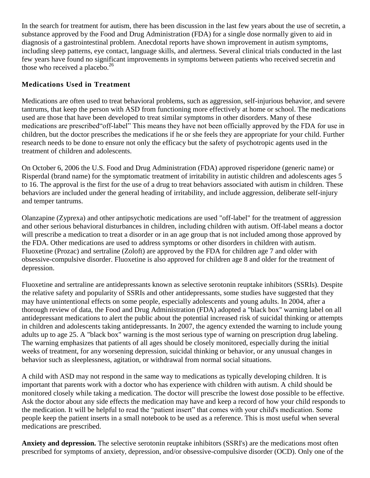In the search for treatment for autism, there has been discussion in the last few years about the use of secretin, a substance approved by the Food and Drug Administration (FDA) for a single dose normally given to aid in diagnosis of a gastrointestinal problem. Anecdotal reports have shown improvement in autism symptoms, including sleep patterns, eye contact, language skills, and alertness. Several clinical trials conducted in the last few years have found no significant improvements in symptoms between patients who received secretin and those who received a placebo. $^{26}$ 

## **Medications Used in Treatment**

Medications are often used to treat behavioral problems, such as aggression, self-injurious behavior, and severe tantrums, that keep the person with ASD from functioning more effectively at home or school. The medications used are those that have been developed to treat similar symptoms in other disorders. Many of these medications are prescribed"off-label" This means they have not been officially approved by the FDA for use in children, but the doctor prescribes the medications if he or she feels they are appropriate for your child. Further research needs to be done to ensure not only the efficacy but the safety of psychotropic agents used in the treatment of children and adolescents.

On October 6, 2006 the U.S. Food and Drug Administration (FDA) approved risperidone (generic name) or Risperdal (brand name) for the symptomatic treatment of irritability in autistic children and adolescents ages 5 to 16. The approval is the first for the use of a drug to treat behaviors associated with autism in children. These behaviors are included under the general heading of irritability, and include aggression, deliberate self-injury and temper tantrums.

Olanzapine (Zyprexa) and other antipsychotic medications are used "off-label" for the treatment of aggression and other serious behavioral disturbances in children, including children with autism. Off-label means a doctor will prescribe a medication to treat a disorder or in an age group that is not included among those approved by the FDA. Other medications are used to address symptoms or other disorders in children with autism. Fluoxetine (Prozac) and sertraline (Zoloft) are approved by the FDA for children age 7 and older with obsessive-compulsive disorder. Fluoxetine is also approved for children age 8 and older for the treatment of depression.

Fluoxetine and sertraline are antidepressants known as selective serotonin reuptake inhibitors (SSRIs). Despite the relative safety and popularity of SSRIs and other antidepressants, some studies have suggested that they may have unintentional effects on some people, especially adolescents and young adults. In 2004, after a thorough review of data, the Food and Drug Administration (FDA) adopted a "black box" warning label on all antidepressant medications to alert the public about the potential increased risk of suicidal thinking or attempts in children and adolescents taking antidepressants. In 2007, the agency extended the warning to include young adults up to age 25. A "black box" warning is the most serious type of warning on prescription drug labeling. The warning emphasizes that patients of all ages should be closely monitored, especially during the initial weeks of treatment, for any worsening depression, suicidal thinking or behavior, or any unusual changes in behavior such as sleeplessness, agitation, or withdrawal from normal social situations.

A child with ASD may not respond in the same way to medications as typically developing children. It is important that parents work with a doctor who has experience with children with autism. A child should be monitored closely while taking a medication. The doctor will prescribe the lowest dose possible to be effective. Ask the doctor about any side effects the medication may have and keep a record of how your child responds to the medication. It will be helpful to read the "patient insert" that comes with your child's medication. Some people keep the patient inserts in a small notebook to be used as a reference. This is most useful when several medications are prescribed.

**Anxiety and depression.** The selective serotonin reuptake inhibitors (SSRI's) are the medications most often prescribed for symptoms of anxiety, depression, and/or obsessive-compulsive disorder (OCD). Only one of the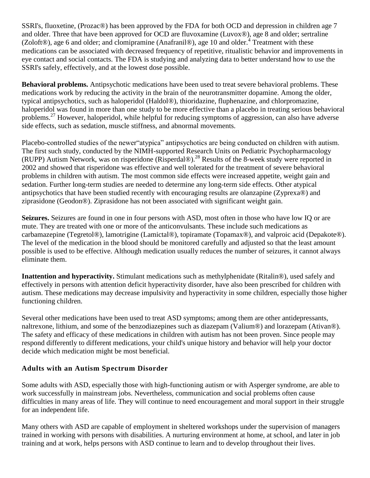SSRI's, fluoxetine, (Prozac®) has been approved by the FDA for both OCD and depression in children age 7 and older. Three that have been approved for OCD are fluvoxamine (Luvox®), age 8 and older; sertraline (Zoloft®), age 6 and older; and clomipramine (Anafranil®), age 10 and older.<sup>4</sup> Treatment with these medications can be associated with decreased frequency of repetitive, ritualistic behavior and improvements in eye contact and social contacts. The FDA is studying and analyzing data to better understand how to use the SSRI's safely, effectively, and at the lowest dose possible.

**Behavioral problems.** Antipsychotic medications have been used to treat severe behavioral problems. These medications work by reducing the activity in the brain of the neurotransmitter dopamine. Among the older, typical antipsychotics, such as haloperidol (Haldol®), thioridazine, fluphenazine, and chlorpromazine, haloperidol was found in more than one study to be more effective than a placebo in treating serious behavioral problems.<sup>27</sup> However, haloperidol, while helpful for reducing symptoms of aggression, can also have adverse side effects, such as sedation, muscle stiffness, and abnormal movements.

Placebo-controlled studies of the newer"atypica" antipsychotics are being conducted on children with autism. The first such study, conducted by the NIMH-supported Research Units on Pediatric Psychopharmacology (RUPP) Autism Network, was on risperidone (Risperdal®).<sup>28</sup> Results of the 8-week study were reported in 2002 and showed that risperidone was effective and well tolerated for the treatment of severe behavioral problems in children with autism. The most common side effects were increased appetite, weight gain and sedation. Further long-term studies are needed to determine any long-term side effects. Other atypical antipsychotics that have been studied recently with encouraging results are olanzapine (Zyprexa®) and ziprasidone (Geodon®). Ziprasidone has not been associated with significant weight gain.

**Seizures.** Seizures are found in one in four persons with ASD, most often in those who have low IQ or are mute. They are treated with one or more of the anticonvulsants. These include such medications as carbamazepine (Tegretol®), lamotrigine (Lamictal®), topiramate (Topamax®), and valproic acid (Depakote®). The level of the medication in the blood should be monitored carefully and adjusted so that the least amount possible is used to be effective. Although medication usually reduces the number of seizures, it cannot always eliminate them.

**Inattention and hyperactivity.** Stimulant medications such as methylphenidate (Ritalin®), used safely and effectively in persons with attention deficit hyperactivity disorder, have also been prescribed for children with autism. These medications may decrease impulsivity and hyperactivity in some children, especially those higher functioning children.

Several other medications have been used to treat ASD symptoms; among them are other antidepressants, naltrexone, lithium, and some of the benzodiazepines such as diazepam (Valium®) and lorazepam (Ativan®). The safety and efficacy of these medications in children with autism has not been proven. Since people may respond differently to different medications, your child's unique history and behavior will help your doctor decide which medication might be most beneficial.

### **Adults with an Autism Spectrum Disorder**

Some adults with ASD, especially those with high-functioning autism or with Asperger syndrome, are able to work successfully in mainstream jobs. Nevertheless, communication and social problems often cause difficulties in many areas of life. They will continue to need encouragement and moral support in their struggle for an independent life.

Many others with ASD are capable of employment in sheltered workshops under the supervision of managers trained in working with persons with disabilities. A nurturing environment at home, at school, and later in job training and at work, helps persons with ASD continue to learn and to develop throughout their lives.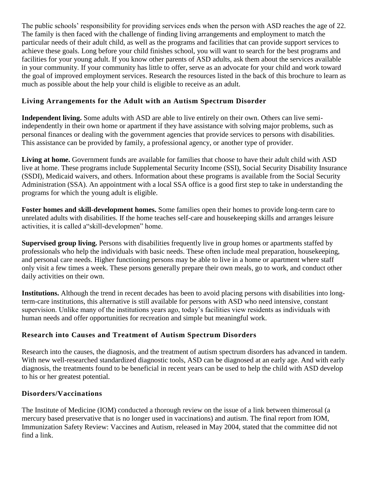The public schools' responsibility for providing services ends when the person with ASD reaches the age of 22. The family is then faced with the challenge of finding living arrangements and employment to match the particular needs of their adult child, as well as the programs and facilities that can provide support services to achieve these goals. Long before your child finishes school, you will want to search for the best programs and facilities for your young adult. If you know other parents of ASD adults, ask them about the services available in your community. If your community has little to offer, serve as an advocate for your child and work toward the goal of improved employment services. Research the resources listed in the back of this brochure to learn as much as possible about the help your child is eligible to receive as an adult.

### **Living Arrangements for the Adult with an Autism Spectrum Disorder**

**Independent living.** Some adults with ASD are able to live entirely on their own. Others can live semiindependently in their own home or apartment if they have assistance with solving major problems, such as personal finances or dealing with the government agencies that provide services to persons with disabilities. This assistance can be provided by family, a professional agency, or another type of provider.

**Living at home.** Government funds are available for families that choose to have their adult child with ASD live at home. These programs include Supplemental Security Income (SSI), Social Security Disability Insurance (SSDI), Medicaid waivers, and others. Information about these programs is available from the Social Security Administration (SSA). An appointment with a local SSA office is a good first step to take in understanding the programs for which the young adult is eligible.

**Foster homes and skill-development homes.** Some families open their homes to provide long-term care to unrelated adults with disabilities. If the home teaches self-care and housekeeping skills and arranges leisure activities, it is called a"skill-developmen" home.

**Supervised group living.** Persons with disabilities frequently live in group homes or apartments staffed by professionals who help the individuals with basic needs. These often include meal preparation, housekeeping, and personal care needs. Higher functioning persons may be able to live in a home or apartment where staff only visit a few times a week. These persons generally prepare their own meals, go to work, and conduct other daily activities on their own.

**Institutions.** Although the trend in recent decades has been to avoid placing persons with disabilities into longterm-care institutions, this alternative is still available for persons with ASD who need intensive, constant supervision. Unlike many of the institutions years ago, today's facilities view residents as individuals with human needs and offer opportunities for recreation and simple but meaningful work.

### **Research into Causes and Treatment of Autism Spectrum Disorders**

Research into the causes, the diagnosis, and the treatment of autism spectrum disorders has advanced in tandem. With new well-researched standardized diagnostic tools, ASD can be diagnosed at an early age. And with early diagnosis, the treatments found to be beneficial in recent years can be used to help the child with ASD develop to his or her greatest potential.

### **Disorders/Vaccinations**

The Institute of Medicine (IOM) conducted a thorough review on the issue of a link between thimerosal (a mercury based preservative that is no longer used in vaccinations) and autism. The final report from IOM, Immunization Safety Review: Vaccines and Autism, released in May 2004, stated that the committee did not find a link.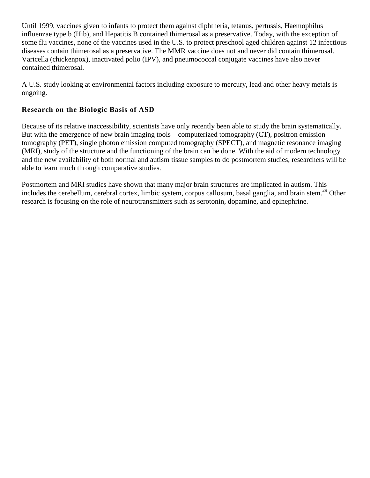Until 1999, vaccines given to infants to protect them against diphtheria, tetanus, pertussis, Haemophilus influenzae type b (Hib), and Hepatitis B contained thimerosal as a preservative. Today, with the exception of some flu vaccines, none of the vaccines used in the U.S. to protect preschool aged children against 12 infectious diseases contain thimerosal as a preservative. The MMR vaccine does not and never did contain thimerosal. Varicella (chickenpox), inactivated polio (IPV), and pneumococcal conjugate vaccines have also never contained thimerosal.

A U.S. study looking at environmental factors including exposure to mercury, lead and other heavy metals is ongoing.

## **Research on the Biologic Basis of ASD**

Because of its relative inaccessibility, scientists have only recently been able to study the brain systematically. But with the emergence of new brain imaging tools—computerized tomography (CT), positron emission tomography (PET), single photon emission computed tomography (SPECT), and magnetic resonance imaging (MRI), study of the structure and the functioning of the brain can be done. With the aid of modern technology and the new availability of both normal and autism tissue samples to do postmortem studies, researchers will be able to learn much through comparative studies.

Postmortem and MRI studies have shown that many major brain structures are implicated in autism. This includes the cerebellum, cerebral cortex, limbic system, corpus callosum, basal ganglia, and brain stem.<sup>29</sup> Other research is focusing on the role of neurotransmitters such as serotonin, dopamine, and epinephrine.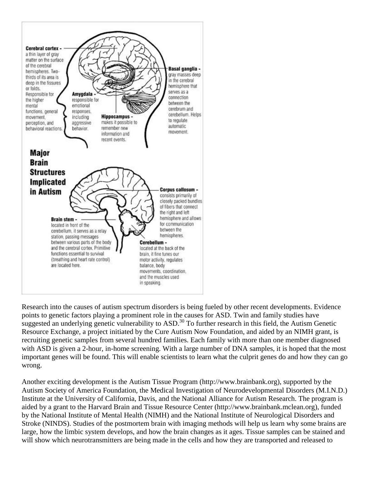

Research into the causes of autism spectrum disorders is being fueled by other recent developments. Evidence points to genetic factors playing a prominent role in the causes for ASD. Twin and family studies have suggested an underlying genetic vulnerability to  $ASD<sup>30</sup>$  To further research in this field, the Autism Genetic Resource Exchange, a project initiated by the Cure Autism Now Foundation, and aided by an NIMH grant, is recruiting genetic samples from several hundred families. Each family with more than one member diagnosed with ASD is given a 2-hour, in-home screening. With a large number of DNA samples, it is hoped that the most important genes will be found. This will enable scientists to learn what the culprit genes do and how they can go wrong.

Another exciting development is the Autism Tissue Program (http://www.brainbank.org), supported by the Autism Society of America Foundation, the Medical Investigation of Neurodevelopmental Disorders (M.I.N.D.) Institute at the University of California, Davis, and the National Alliance for Autism Research. The program is aided by a grant to the Harvard Brain and Tissue Resource Center (http://www.brainbank.mclean.org), funded by the National Institute of Mental Health (NIMH) and the National Institute of Neurological Disorders and Stroke (NINDS). Studies of the postmortem brain with imaging methods will help us learn why some brains are large, how the limbic system develops, and how the brain changes as it ages. Tissue samples can be stained and will show which neurotransmitters are being made in the cells and how they are transported and released to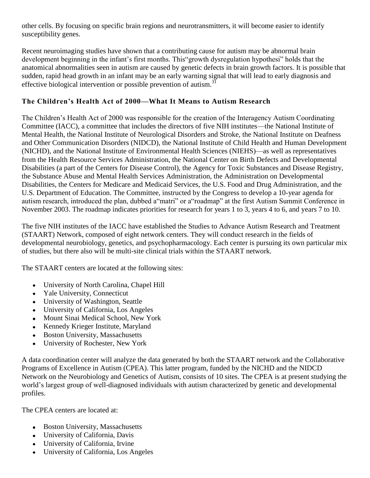other cells. By focusing on specific brain regions and neurotransmitters, it will become easier to identify susceptibility genes.

Recent neuroimaging studies have shown that a contributing cause for autism may be abnormal brain development beginning in the infant's first months. This"growth dysregulation hypothesi" holds that the anatomical abnormalities seen in autism are caused by genetic defects in brain growth factors. It is possible that sudden, rapid head growth in an infant may be an early warning signal that will lead to early diagnosis and effective biological intervention or possible prevention of autism.<sup>31</sup>

# **The Children's Health Act of 2000—What It Means to Autism Research**

The Children's Health Act of 2000 was responsible for the creation of the Interagency Autism Coordinating Committee (IACC), a committee that includes the directors of five NIH institutes—the National Institute of Mental Health, the National Institute of Neurological Disorders and Stroke, the National Institute on Deafness and Other Communication Disorders (NIDCD), the National Institute of Child Health and Human Development (NICHD), and the National Institute of Environmental Health Sciences (NIEHS)—as well as representatives from the Health Resource Services Administration, the National Center on Birth Defects and Developmental Disabilities (a part of the Centers for Disease Control), the Agency for Toxic Substances and Disease Registry, the Substance Abuse and Mental Health Services Administration, the Administration on Developmental Disabilities, the Centers for Medicare and Medicaid Services, the U.S. Food and Drug Administration, and the U.S. Department of Education. The Committee, instructed by the Congress to develop a 10-year agenda for autism research, introduced the plan, dubbed a"matri" or a"roadmap" at the first Autism Summit Conference in November 2003. The roadmap indicates priorities for research for years 1 to 3, years 4 to 6, and years 7 to 10.

The five NIH institutes of the IACC have established the Studies to Advance Autism Research and Treatment (STAART) Network, composed of eight network centers. They will conduct research in the fields of developmental neurobiology, genetics, and psychopharmacology. Each center is pursuing its own particular mix of studies, but there also will be multi-site clinical trials within the STAART network.

The STAART centers are located at the following sites:

- University of North Carolina, Chapel Hill
- Yale University, Connecticut
- University of Washington, Seattle
- University of California, Los Angeles
- Mount Sinai Medical School, New York
- Kennedy Krieger Institute, Maryland
- $\bullet$ Boston University, Massachusetts
- University of Rochester, New York

A data coordination center will analyze the data generated by both the STAART network and the Collaborative Programs of Excellence in Autism (CPEA). This latter program, funded by the NICHD and the NIDCD Network on the Neurobiology and Genetics of Autism, consists of 10 sites. The CPEA is at present studying the world's largest group of well-diagnosed individuals with autism characterized by genetic and developmental profiles.

The CPEA centers are located at:

- Boston University, Massachusetts
- University of California, Davis
- University of California, Irvine
- University of California, Los Angeles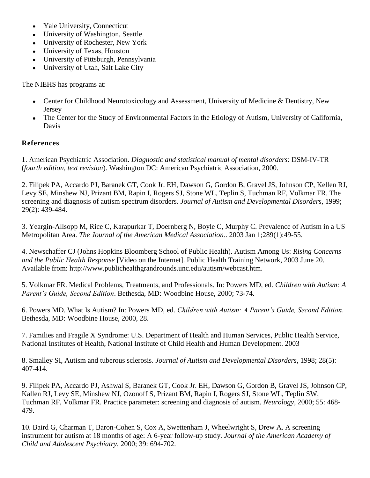- Yale University, Connecticut
- University of Washington, Seattle
- University of Rochester, New York
- University of Texas, Houston
- University of Pittsburgh, Pennsylvania  $\bullet$
- University of Utah, Salt Lake City

The NIEHS has [programs](http://www.niehs.nih.gov/translat/children/ctr-desc.htm) at:

- Center for Childhood Neurotoxicology and Assessment, University of Medicine & Dentistry, New **J**ersey
- The Center for the Study of Environmental Factors in the Etiology of Autism, University of California,  $\bullet$ Davis

### **References**

1. American Psychiatric Association. *Diagnostic and statistical manual of mental disorders*: DSM-IV-TR (*fourth edition, text revision*). Washington DC: American Psychiatric Association, 2000.

2. Filipek PA, Accardo PJ, Baranek GT, Cook Jr. EH, Dawson G, Gordon B, Gravel JS, Johnson CP, Kellen RJ, Levy SE, Minshew NJ, Prizant BM, Rapin I, Rogers SJ, Stone WL, Teplin S, Tuchman RF, Volkmar FR. The screening and diagnosis of autism spectrum disorders. *Journal of Autism and Developmental Disorders*, 1999; 29(2): 439-484.

3. Yeargin-Allsopp M, Rice C, Karapurkar T, Doernberg N, Boyle C, Murphy C. Prevalence of Autism in a US Metropolitan Area. *The Journal of the American Medical Association.*. 2003 Jan 1;289(1):49-55.

4. Newschaffer CJ (Johns Hopkins Bloomberg School of Public Health). Autism Among Us: *Rising Concerns and the Public Health Response* [Video on the Internet]. Public Health Training Network, 2003 June 20. Available from: http://www.publichealthgrandrounds.unc.edu/autism/webcast.htm.

5. Volkmar FR. Medical Problems, Treatments, and Professionals. In: Powers MD, ed. *Children with Autism: A Parent's Guide, Second Edition*. Bethesda, MD: Woodbine House, 2000; 73-74.

6. Powers MD. What Is Autism? In: Powers MD, ed. *Children with Autism: A Parent's Guide, Second Edition*. Bethesda, MD: Woodbine House, 2000, 28.

7. Families and Fragile X Syndrome: U.S. Department of Health and Human Services, Public Health Service, National Institutes of Health, National Institute of Child Health and Human Development. 2003

8. Smalley SI, Autism and tuberous sclerosis. *Journal of Autism and Developmental Disorders*, 1998; 28(5): 407-414.

9. Filipek PA, Accardo PJ, Ashwal S, Baranek GT, Cook Jr. EH, Dawson G, Gordon B, Gravel JS, Johnson CP, Kallen RJ, Levy SE, Minshew NJ, Ozonoff S, Prizant BM, Rapin I, Rogers SJ, Stone WL, Teplin SW, Tuchman RF, Volkmar FR. Practice parameter: screening and diagnosis of autism. *Neurology*, 2000; 55: 468- 479.

10. Baird G, Charman T, Baron-Cohen S, Cox A, Swettenham J, Wheelwright S, Drew A. A screening instrument for autism at 18 months of age: A 6-year follow-up study. *Journal of the American Academy of Child and Adolescent Psychiatry*, 2000; 39: 694-702.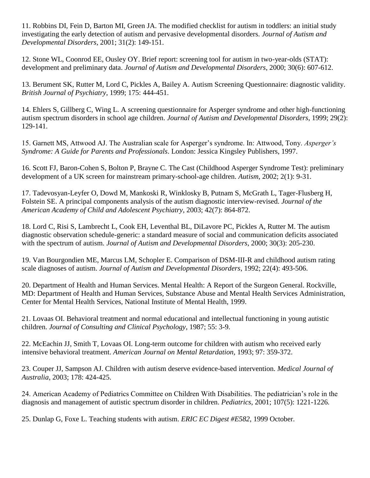11. Robbins DI, Fein D, Barton MI, Green JA. The modified checklist for autism in toddlers: an initial study investigating the early detection of autism and pervasive developmental disorders. *Journal of Autism and Developmental Disorders*, 2001; 31(2): 149-151.

12. Stone WL, Coonrod EE, Ousley OY. Brief report: screening tool for autism in two-year-olds (STAT): development and preliminary data. *Journal of Autism and Developmental Disorders*, 2000; 30(6): 607-612.

13. Berument SK, Rutter M, Lord C, Pickles A, Bailey A. Autism Screening Questionnaire: diagnostic validity. *British Journal of Psychiatry*, 1999; 175: 444-451.

14. Ehlers S, Gillberg C, Wing L. A screening questionnaire for Asperger syndrome and other high-functioning autism spectrum disorders in school age children. *Journal of Autism and Developmental Disorders*, 1999; 29(2): 129-141.

15. Garnett MS, Attwood AJ. The Australian scale for Asperger's syndrome. In: Attwood, Tony. *Asperger's Syndrome: A Guide for Parents and Professionals*. London: Jessica Kingsley Publishers, 1997.

16. Scott FJ, Baron-Cohen S, Bolton P, Brayne C. The Cast (Childhood Asperger Syndrome Test): preliminary development of a UK screen for mainstream primary-school-age children. *Autism*, 2002; 2(1): 9-31.

17. Tadevosyan-Leyfer O, Dowd M, Mankoski R, Winklosky B, Putnam S, McGrath L, Tager-Flusberg H, Folstein SE. A principal components analysis of the autism diagnostic interview-revised. *Journal of the American Academy of Child and Adolescent Psychiatry*, 2003; 42(7): 864-872.

18. Lord C, Risi S, Lambrecht L, Cook EH, Leventhal BL, DiLavore PC, Pickles A, Rutter M. The autism diagnostic observation schedule-generic: a standard measure of social and communication deficits associated with the spectrum of autism. *Journal of Autism and Developmental Disorders*, 2000; 30(3): 205-230.

19. Van Bourgondien ME, Marcus LM, Schopler E. Comparison of DSM-III-R and childhood autism rating scale diagnoses of autism. *Journal of Autism and Developmental Disorders*, 1992; 22(4): 493-506.

20. Department of Health and Human Services. Mental Health: A Report of the Surgeon General. Rockville, MD: Department of Health and Human Services, Substance Abuse and Mental Health Services Administration, Center for Mental Health Services, National Institute of Mental Health, 1999.

21. Lovaas OI. Behavioral treatment and normal educational and intellectual functioning in young autistic children. *Journal of Consulting and Clinical Psychology*, 1987; 55: 3-9.

22. McEachin JJ, Smith T, Lovaas OI. Long-term outcome for children with autism who received early intensive behavioral treatment. *American Journal on Mental Retardation*, 1993; 97: 359-372.

23. Couper JJ, Sampson AJ. Children with autism deserve evidence-based intervention. *Medical Journal of Australia*, 2003; 178: 424-425.

24. American Academy of Pediatrics Committee on Children With Disabilities. The pediatrician's role in the diagnosis and management of autistic spectrum disorder in children. *Pediatrics*, 2001; 107(5): 1221-1226.

25. Dunlap G, Foxe L. Teaching students with autism. *ERIC EC Digest #E582*, 1999 October.